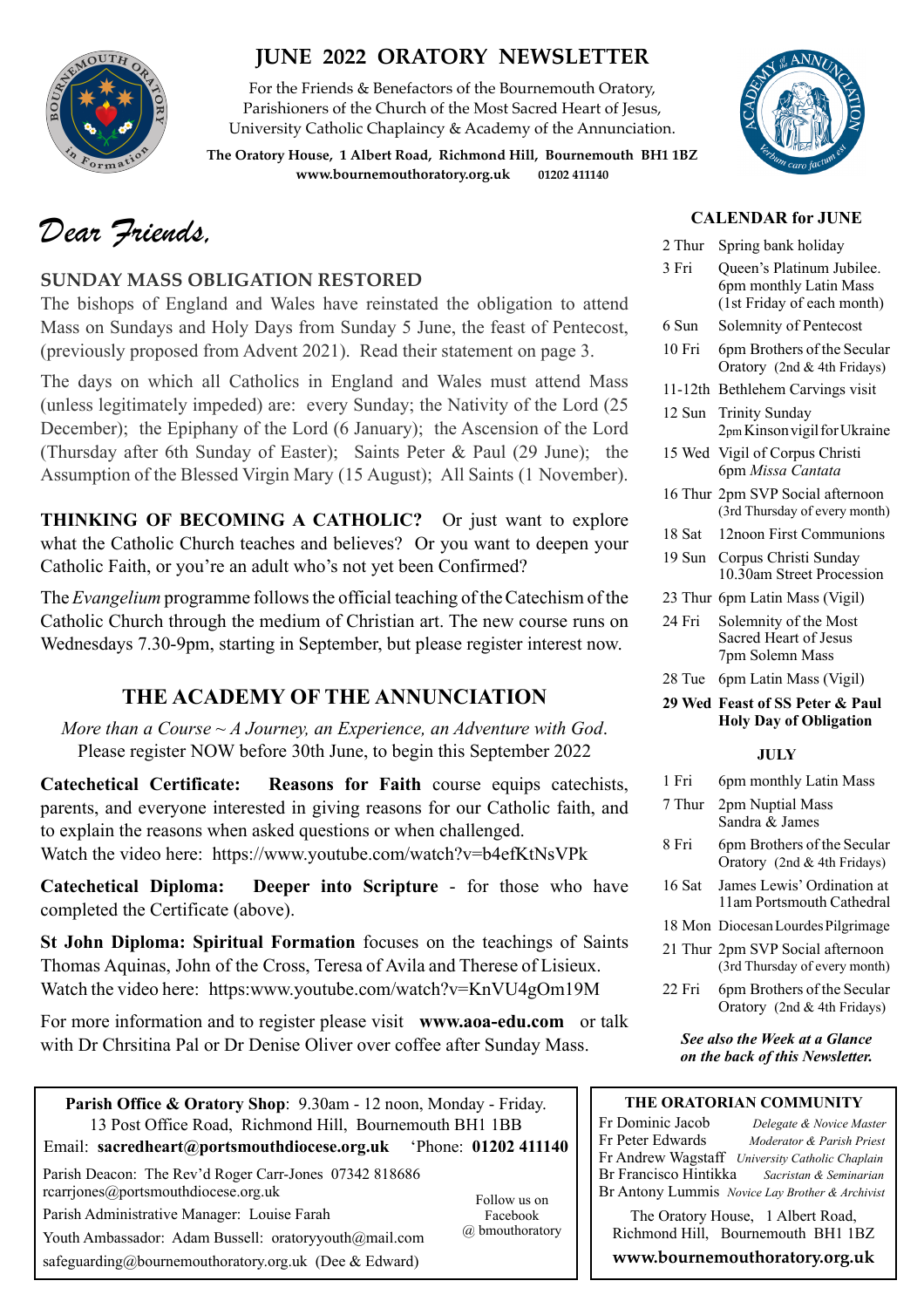

# **JUNE 2022 ORATORY NEWSLETTER**

For the Friends & Benefactors of the Bournemouth Oratory, Parishioners of the Church of the Most Sacred Heart of Jesus, University Catholic Chaplaincy & Academy of the Annunciation.

**The Oratory House, 1 Albert Road, Richmond Hill, Bournemouth BH1 1BZ [www.bournemouthoratory.org.uk](http://www.bournemouthoratory.org.uk) 01202 411140**



**CALENDAR for JUNE**

2 Thur Spring bank holiday 3 Fri Queen's Platinum Jubilee. 6pm monthly Latin Mass (1st Friday of each month)

# *Dear Friends,*

### **SUNDAY MASS OBLIGATION RESTORED**

The bishops of England and Wales have reinstated the obligation to attend Mass on Sundays and Holy Days from Sunday 5 June, the feast of Pentecost, (previously proposed from Advent 2021). Read their statement on page 3.

The days on which all Catholics in England and Wales must attend Mass (unless legitimately impeded) are: every Sunday; the Nativity of the Lord (25 December); the Epiphany of the Lord (6 January); the Ascension of the Lord (Thursday after 6th Sunday of Easter); Saints Peter & Paul (29 June); the Assumption of the Blessed Virgin Mary (15 August); All Saints (1 November).

**THINKING OF BECOMING A CATHOLIC?** Or just want to explore what the Catholic Church teaches and believes? Or you want to deepen your Catholic Faith, or you're an adult who's not yet been Confirmed?

The *Evangelium* programme follows the official teaching of the Catechism of the Catholic Church through the medium of Christian art. The new course runs on Wednesdays 7.30-9pm, starting in September, but please register interest now.

# **THE ACADEMY OF THE ANNUNCIATION**

*More than a Course ~ A Journey, an Experience, an Adventure with God*. Please register NOW before 30th June, to begin this September 2022

**Catechetical Certificate: Reasons for Faith** course equips catechists, parents, and everyone interested in giving reasons for our Catholic faith, and to explain the reasons when asked questions or when challenged. Watch the video here: https://www.youtube.com/watch?v=b4efKtNsVPk

**Catechetical Diploma: Deeper into Scripture** - for those who have completed the Certificate (above).

**St John Diploma: Spiritual Formation** focuses on the teachings of Saints Thomas Aquinas, John of the Cross, Teresa of Avila and Therese of Lisieux. Watch the video here: [https:www.youtube.com/watch?v=KnVU4gOm19M](http://www.apple.com/uk)

For more information and to register please visit **[www.aoa-edu.com](http://www.aoa-edu.com)** or talk with Dr Chrsitina Pal or Dr Denise Oliver over coffee after Sunday Mass.

| 6 Sun  | Solemnity of Pentecost                                            |  |  |  |
|--------|-------------------------------------------------------------------|--|--|--|
| 10 Fri | 6pm Brothers of the Secular<br>Oratory (2nd & 4th Fridays)        |  |  |  |
|        | 11-12th Bethlehem Carvings visit                                  |  |  |  |
| 12 Sun | <b>Trinity Sunday</b><br>2 <sub>pm</sub> Kinson vigil for Ukraine |  |  |  |
|        | 15 Wed Vigil of Corpus Christi<br>6pm Missa Cantata               |  |  |  |
|        | 16 Thur 2pm SVP Social afternoon<br>(3rd Thursday of every month) |  |  |  |
| 18 Sat | 12noon First Communions                                           |  |  |  |
| 19 Sun | Corpus Christi Sunday<br>10.30am Street Procession                |  |  |  |
|        | 23 Thur 6pm Latin Mass (Vigil)                                    |  |  |  |
| 24 Fri | Solemnity of the Most<br>Sacred Heart of Jesus<br>7pm Solemn Mass |  |  |  |
| 28 Tue | 6pm Latin Mass (Vigil)                                            |  |  |  |
|        | 29 Wed Feast of SS Peter & Paul<br><b>Holy Day of Obligation</b>  |  |  |  |
| JULY   |                                                                   |  |  |  |
| 1 Fri  | 6pm monthly Latin Mass                                            |  |  |  |
| 7 Thur | 2nm Nuntial Mass                                                  |  |  |  |

| 7 Thur | 2pm Nuptial Mass<br>Sandra & James                                |
|--------|-------------------------------------------------------------------|
| 8 Fri  | 6pm Brothers of the Secular<br>Oratory (2nd & 4th Fridays)        |
| 16 Sat | James Lewis' Ordination at<br>11am Portsmouth Cathedral           |
|        | 18 Mon Diocesan Lourdes Pilgrimage                                |
|        | 21 Thur 2pm SVP Social afternoon<br>(3rd Thursday of every month) |
| 22 Fri | 6pm Brothers of the Secular<br>Oratory (2nd & 4th Fridays)        |

*See also the Week at a Glance on the back of this Newsletter.* 

### **THE ORATORIAN COMMUNITY**

Fr Dominic Jacob *Delegate & Novice Master*  Fr Peter Edwards *Moderator & Parish Priest*  Fr Andrew Wagstaff *University Catholic Chaplain*  Br Francisco Hintikka *Sacristan & Seminarian*  Br Antony Lummis *Novice Lay Brother & Archivist* 

The Oratory House, 1 Albert Road, Richmond Hill, Bournemouth BH1 1BZ

**[www.bournemouthoratory.org.uk](http://www.bournemoithoratory.org.uk)**

Parish Office & Oratory Shop: 9.30am - 12 noon, Monday - Friday. 13 Post Office Road, Richmond Hill, Bournemouth BH1 1BB Email: **[sacredheart@portsmouthdiocese.org.uk](mailto:sacredheart@portsmouthdiocese.org.uk)** 'Phone: **01202 411140**

Parish Deacon: The Rev'd Roger Carr-Jones 07342 818686 [rcarrjones@portsmouthdiocese.org.uk](mailto:rcarrjones@portsmouthdiocese.org.uk)

Parish Administrative Manager: Louise Farah

Youth Ambassador: Adam Bussell: [oratoryyouth@mail.com](http://oratoryyouth.mail.com) [safeguarding@bournemouthoratory.org.uk](mailto:safeguarding@bournemouthoratory.org.uk) (Dee & Edward)

Follow us on Facebook @ bmouthoratory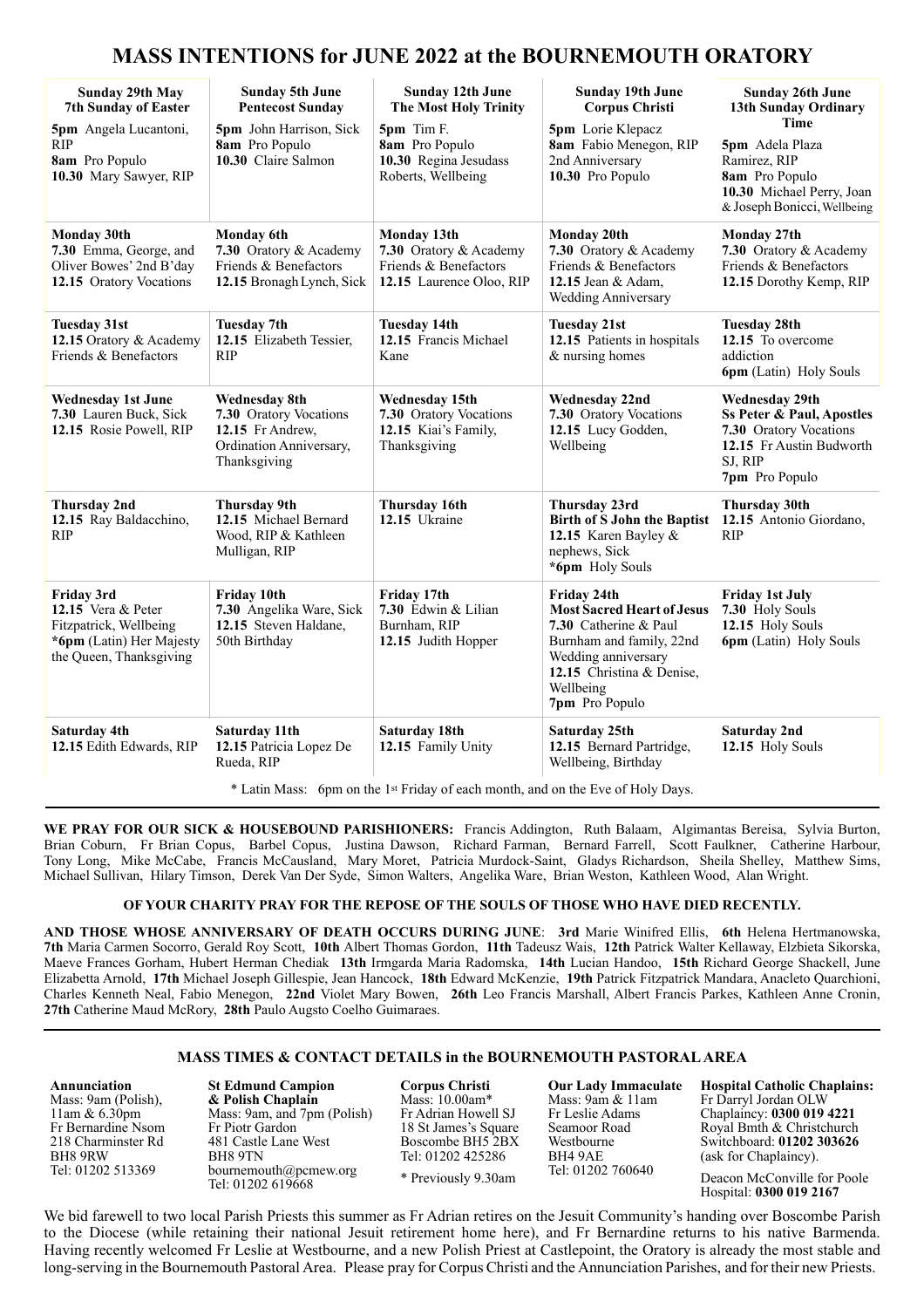# **MASS INTENTIONS for JUNE 2022 at the BOURNEMOUTH ORATORY**

| <b>Sunday 29th May</b><br><b>7th Sunday of Easter</b><br>5pm Angela Lucantoni,                                           | <b>Sunday 5th June</b><br><b>Pentecost Sunday</b><br>5pm John Harrison, Sick                                  | <b>Sunday 12th June</b><br><b>The Most Holy Trinity</b><br>5pm Tim F.                      | <b>Sunday 19th June</b><br><b>Corpus Christi</b><br>5pm Lorie Klepacz                                                                                                                           | <b>Sunday 26th June</b><br>13th Sunday Ordinary<br><b>Time</b>                                                                        |
|--------------------------------------------------------------------------------------------------------------------------|---------------------------------------------------------------------------------------------------------------|--------------------------------------------------------------------------------------------|-------------------------------------------------------------------------------------------------------------------------------------------------------------------------------------------------|---------------------------------------------------------------------------------------------------------------------------------------|
| <b>RIP</b><br>8am Pro Populo<br>10.30 Mary Sawyer, RIP                                                                   | 8am Pro Populo<br>10.30 Claire Salmon                                                                         | 8am Pro Populo<br>10.30 Regina Jesudass<br>Roberts, Wellbeing                              | 8am Fabio Menegon, RIP<br>2nd Anniversary<br>10.30 Pro Populo                                                                                                                                   | 5pm Adela Plaza<br>Ramirez, RIP<br>8am Pro Populo<br>10.30 Michael Perry, Joan<br>& Joseph Bonicci, Wellbeing                         |
| <b>Monday 30th</b><br>7.30 Emma, George, and<br>Oliver Bowes' 2nd B'day<br>12.15 Oratory Vocations                       | <b>Monday 6th</b><br>7.30 Oratory & Academy<br>Friends & Benefactors<br>12.15 Bronagh Lynch, Sick             | Monday 13th<br>7.30 Oratory & Academy<br>Friends & Benefactors<br>12.15 Laurence Oloo, RIP | <b>Monday 20th</b><br>7.30 Oratory & Academy<br>Friends & Benefactors<br>12.15 Jean & Adam,<br><b>Wedding Anniversary</b>                                                                       | Monday 27th<br>7.30 Oratory & Academy<br>Friends & Benefactors<br>12.15 Dorothy Kemp, RIP                                             |
| <b>Tuesday 31st</b><br>12.15 Oratory & Academy<br>Friends & Benefactors                                                  | <b>Tuesday 7th</b><br>12.15 Elizabeth Tessier,<br><b>RIP</b>                                                  | <b>Tuesday 14th</b><br>12.15 Francis Michael<br>Kane                                       | <b>Tuesday 21st</b><br>12.15 Patients in hospitals<br>$&$ nursing homes                                                                                                                         | <b>Tuesday 28th</b><br>12.15 To overcome<br>addiction<br>6pm (Latin) Holy Souls                                                       |
| <b>Wednesday 1st June</b><br>7.30 Lauren Buck, Sick<br>12.15 Rosie Powell, RIP                                           | <b>Wednesday 8th</b><br>7.30 Oratory Vocations<br>12.15 Fr Andrew.<br>Ordination Anniversary,<br>Thanksgiving | <b>Wednesday 15th</b><br>7.30 Oratory Vocations<br>12.15 Kiai's Family,<br>Thanksgiving    | <b>Wednesday 22nd</b><br>7.30 Oratory Vocations<br>12.15 Lucy Godden,<br>Wellbeing                                                                                                              | <b>Wednesday 29th</b><br>Ss Peter & Paul, Apostles<br>7.30 Oratory Vocations<br>12.15 Fr Austin Budworth<br>SJ, RIP<br>7pm Pro Populo |
| <b>Thursday 2nd</b><br>12.15 Ray Baldacchino,<br><b>RIP</b>                                                              | <b>Thursday 9th</b><br>12.15 Michael Bernard<br>Wood, RIP & Kathleen<br>Mulligan, RIP                         | Thursday 16th<br>12.15 Ukraine                                                             | Thursday 23rd<br>Birth of S John the Baptist<br>12.15 Karen Bayley &<br>nephews, Sick<br>*6pm Holy Souls                                                                                        | <b>Thursday 30th</b><br>12.15 Antonio Giordano,<br><b>RIP</b>                                                                         |
| <b>Friday 3rd</b><br>12.15 Vera & Peter<br>Fitzpatrick, Wellbeing<br>*6pm (Latin) Her Majesty<br>the Queen, Thanksgiving | Friday 10th<br>7.30 Angelika Ware, Sick<br>12.15 Steven Haldane,<br>50th Birthday                             | Friday 17th<br>7.30 Edwin & Lilian<br>Burnham, RIP<br>12.15 Judith Hopper                  | Friday 24th<br><b>Most Sacred Heart of Jesus</b><br><b>7.30</b> Catherine & Paul<br>Burnham and family, 22nd<br>Wedding anniversary<br>12.15 Christina & Denise,<br>Wellbeing<br>7pm Pro Populo | <b>Friday 1st July</b><br>7.30 Holy Souls<br>12.15 Holy Souls<br>6pm (Latin) Holy Souls                                               |
| Saturday 4th<br>12.15 Edith Edwards, RIP                                                                                 | Saturday 11th<br>12.15 Patricia Lopez De<br>Rueda, RIP                                                        | Saturday 18th<br>12.15 Family Unity                                                        | Saturday 25th<br>12.15 Bernard Partridge,<br>Wellbeing, Birthday                                                                                                                                | <b>Saturday 2nd</b><br>12.15 Holy Souls                                                                                               |

\* Latin Mass: 6pm on the 1st Friday of each month, and on the Eve of Holy Days.

**WE PRAY FOR OUR SICK & HOUSEBOUND PARISHIONERS:** Francis Addington, Ruth Balaam, Algimantas Bereisa, Sylvia Burton, Brian Coburn, Fr Brian Copus, Barbel Copus, Justina Dawson, Richard Farman, Bernard Farrell, Scott Faulkner, Catherine Harbour, Tony Long, Mike McCabe, Francis McCausland, Mary Moret, Patricia Murdock-Saint, Gladys Richardson, Sheila Shelley, Matthew Sims, Michael Sullivan, Hilary Timson, Derek Van Der Syde, Simon Walters, Angelika Ware, Brian Weston, Kathleen Wood, Alan Wright.

#### **OF YOUR CHARITY PRAY FOR THE REPOSE OF THE SOULS OF THOSE WHO HAVE DIED RECENTLY.**

**AND THOSE WHOSE ANNIVERSARY OF DEATH OCCURS DURING JUNE**: **3rd** Marie Winifred Ellis, **6th** Helena Hertmanowska, **7th** Maria Carmen Socorro, Gerald Roy Scott, **10th** Albert Thomas Gordon, **11th** Tadeusz Wais, **12th** Patrick Walter Kellaway, Elzbieta Sikorska, Maeve Frances Gorham, Hubert Herman Chediak **13th** Irmgarda Maria Radomska, **14th** Lucian Handoo, **15th** Richard George Shackell, June Elizabetta Arnold, **17th** Michael Joseph Gillespie, Jean Hancock, **18th** Edward McKenzie, **19th** Patrick Fitzpatrick Mandara, Anacleto Quarchioni, Charles Kenneth Neal, Fabio Menegon, **22nd** Violet Mary Bowen, **26th** Leo Francis Marshall, Albert Francis Parkes, Kathleen Anne Cronin, **27th** Catherine Maud McRory, **28th** Paulo Augsto Coelho Guimaraes.

### **MASS TIMES & CONTACT DETAILS in the BOURNEMOUTH PASTORAL AREA**

**Annunciation**  Mass: 9am (Polish), 11am & 6.30pm Fr Bernardine Nsom 218 Charminster Rd

BH8 9RW Tel: 01202 513369 **St Edmund Campion & Polish Chaplain** Mass: 9am, and 7pm (Polish) Fr Piotr Gardon 481 Castle Lane West BH8 9TN [bournemouth@pcmew.org](mailto:bournemouth@pcmew.org)  Tel: 01202 619668

**Corpus Christi**  Mass: 10.00am\* Fr Adrian Howell SJ 18 St James's Square Boscombe BH5 2BX Tel: 01202 425286

\* Previously 9.30am

**Our Lady Immaculate**  Mass: 9am & 11am Fr Leslie Adams Seamoor Road Westbourne BH4 9AE Tel: 01202 760640

**Hospital Catholic Chaplains:**  Fr Darryl Jordan OLW Chaplaincy: **0300 019 4221**  Royal Bmth & Christchurch Switchboard: **01202 303626** (ask for Chaplaincy).

Deacon McConville for Poole Hospital: **0300 019 2167**

We bid farewell to two local Parish Priests this summer as Fr Adrian retires on the Jesuit Community's handing over Boscombe Parish to the Diocese (while retaining their national Jesuit retirement home here), and Fr Bernardine returns to his native Barmenda. Having recently welcomed Fr Leslie at Westbourne, and a new Polish Priest at Castlepoint, the Oratory is already the most stable and long-serving in the Bournemouth Pastoral Area. Please pray for Corpus Christi and the Annunciation Parishes, and for their new Priests.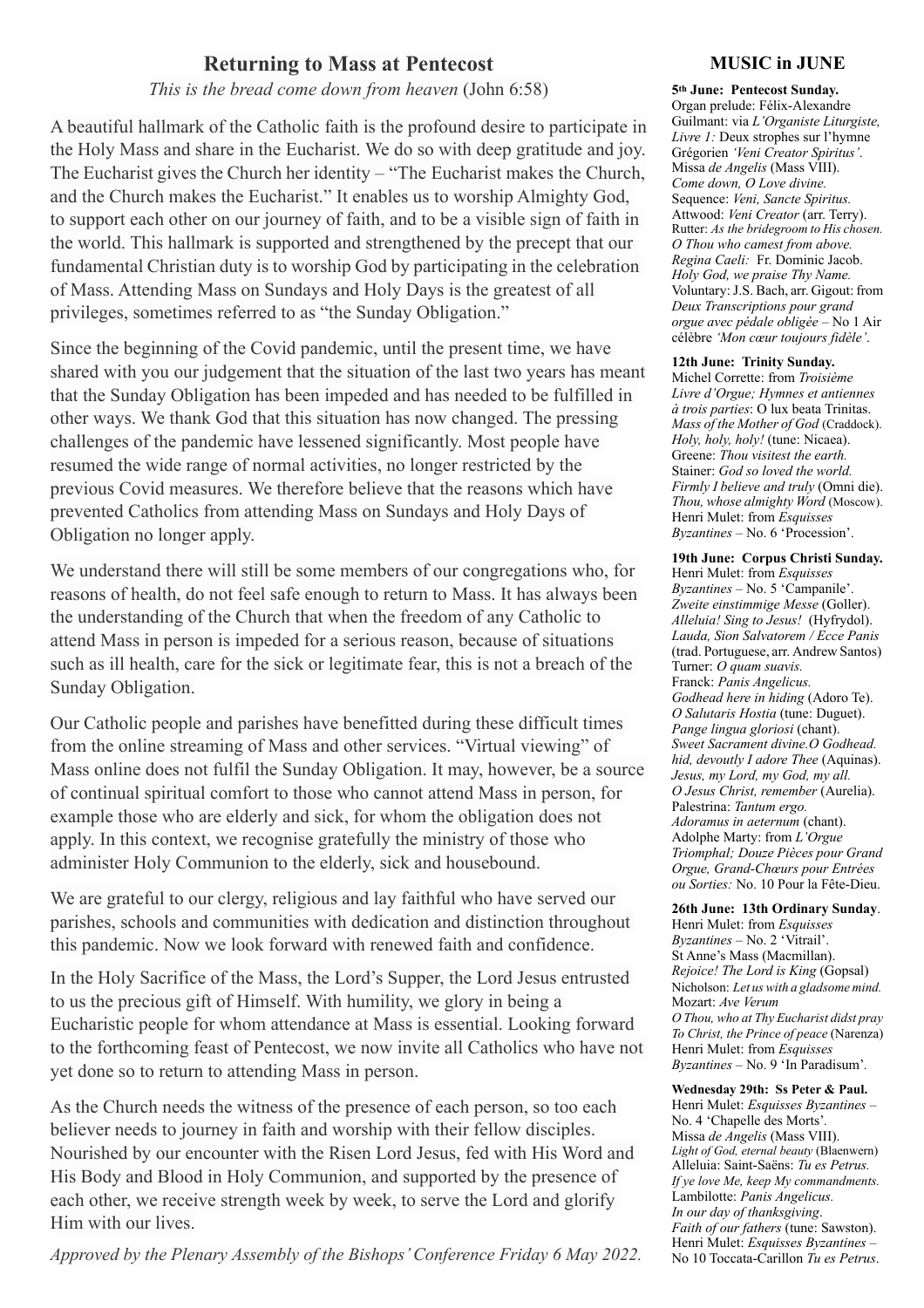## **Returning to Mass at Pentecost**

*This is the bread come down from heaven* (John 6:58)

A beautiful hallmark of the Catholic faith is the profound desire to participate in the Holy Mass and share in the Eucharist. We do so with deep gratitude and joy. The Eucharist gives the Church her identity – "The Eucharist makes the Church, and the Church makes the Eucharist." It enables us to worship Almighty God, to support each other on our journey of faith, and to be a visible sign of faith in the world. This hallmark is supported and strengthened by the precept that our fundamental Christian duty is to worship God by participating in the celebration of Mass. Attending Mass on Sundays and Holy Days is the greatest of all privileges, sometimes referred to as "the Sunday Obligation."

Since the beginning of the Covid pandemic, until the present time, we have shared with you our judgement that the situation of the last two years has meant that the Sunday Obligation has been impeded and has needed to be fulfilled in other ways. We thank God that this situation has now changed. The pressing challenges of the pandemic have lessened significantly. Most people have resumed the wide range of normal activities, no longer restricted by the previous Covid measures. We therefore believe that the reasons which have prevented Catholics from attending Mass on Sundays and Holy Days of Obligation no longer apply.

We understand there will still be some members of our congregations who, for reasons of health, do not feel safe enough to return to Mass. It has always been the understanding of the Church that when the freedom of any Catholic to attend Mass in person is impeded for a serious reason, because of situations such as ill health, care for the sick or legitimate fear, this is not a breach of the Sunday Obligation.

Our Catholic people and parishes have benefitted during these difficult times from the online streaming of Mass and other services. "Virtual viewing" of Mass online does not fulfil the Sunday Obligation. It may, however, be a source of continual spiritual comfort to those who cannot attend Mass in person, for example those who are elderly and sick, for whom the obligation does not apply. In this context, we recognise gratefully the ministry of those who administer Holy Communion to the elderly, sick and housebound.

We are grateful to our clergy, religious and lay faithful who have served our parishes, schools and communities with dedication and distinction throughout this pandemic. Now we look forward with renewed faith and confidence.

In the Holy Sacrifice of the Mass, the Lord's Supper, the Lord Jesus entrusted to us the precious gift of Himself. With humility, we glory in being a Eucharistic people for whom attendance at Mass is essential. Looking forward to the forthcoming feast of Pentecost, we now invite all Catholics who have not yet done so to return to attending Mass in person.

As the Church needs the witness of the presence of each person, so too each believer needs to journey in faith and worship with their fellow disciples. Nourished by our encounter with the Risen Lord Jesus, fed with His Word and His Body and Blood in Holy Communion, and supported by the presence of each other, we receive strength week by week, to serve the Lord and glorify Him with our lives.

*Approved by the Plenary Assembly of the Bishops' Conference Friday 6 May 2022.* 

### **MUSIC in JUNE**

**5th June: Pentecost Sunday.**  Organ prelude: Félix-Alexandre Guilmant: via *L'Organiste Liturgiste, Livre 1:* Deux strophes sur l'hymne Grégorien *'Veni Creator Spiritus'*. Missa *de Angelis* (Mass VIII). *Come down, O Love divine.*  Sequence: *Veni, Sancte Spiritus.*  Attwood: *Veni Creator* (arr. Terry). Rutter: *As the bridegroom to His chosen. O Thou who camest from above. Regina Caeli:* Fr. Dominic Jacob. *Holy God, we praise Thy Name.* Voluntary:J.S. Bach, arr. Gigout: from *Deux Transcriptions pour grand orgue avec pédale obligée* – No 1 Air célèbre *'Mon cœur toujours fidèle'*.

#### **12th June: Trinity Sunday.**

Michel Corrette: from *Troisième Livre d'Orgue; Hymnes et antiennes à trois parties*: O lux beata Trinitas. *Mass of the Mother of God* (Craddock). *Holy, holy, holy!* (tune: Nicaea). Greene: *Thou visitest the earth.* Stainer: *God so loved the world. Firmly I believe and truly* (Omni die). *Thou, whose almighty Word* (Moscow). Henri Mulet: from *Esquisses Byzantines* – No. 6 'Procession'.

### **19th June: Corpus Christi Sunday.**

Henri Mulet: from *Esquisses Byzantines* – No. 5 'Campanile'. *Zweite einstimmige Messe* (Goller). *Alleluia! Sing to Jesus!* (Hyfrydol). *Lauda, Sion Salvatorem / Ecce Panis*  (trad. Portuguese, arr. Andrew Santos) Turner: *O quam suavis.* Franck: *Panis Angelicus. Godhead here in hiding* (Adoro Te). *O Salutaris Hostia* (tune: Duguet). *Pange lingua gloriosi* (chant). *Sweet Sacrament divine.O Godhead. hid, devoutly I adore Thee* (Aquinas). *Jesus, my Lord, my God, my all. O Jesus Christ, remember* (Aurelia). Palestrina: *Tantum ergo. Adoramus in aeternum* (chant). Adolphe Marty: from *L'Orgue Triomphal; Douze Pièces pour Grand Orgue, Grand-Chœurs pour Entrées ou Sorties:* No. 10 Pour la Fête-Dieu.

#### **26th June: 13th Ordinary Sunday**.

Henri Mulet: from *Esquisses Byzantines* – No. 2 'Vitrail'. St Anne's Mass (Macmillan). *Rejoice! The Lord is King* (Gopsal) Nicholson: *Let uswith a gladsome mind.*  Mozart: *Ave Verum O Thou, who at Thy Eucharist didst pray To Christ, the Prince of peace* (Narenza) Henri Mulet: from *Esquisses Byzantines* – No. 9 'In Paradisum'*.*

### **Wednesday 29th: Ss Peter & Paul.**

Henri Mulet: *Esquisses Byzantines* – No. 4 'Chapelle des Morts'*.*  Missa *de Angelis* (Mass VIII). *Light of God, eternal beauty* (Blaenwern) Alleluia: Saint-Saëns: *Tu es Petrus. If ye love Me, keep My commandments.* Lambilotte: *Panis Angelicus. In our day of thanksgiving*. *Faith of our fathers* (tune: Sawston). Henri Mulet: *Esquisses Byzantines* – No 10 Toccata-Carillon *Tu es Petrus*.